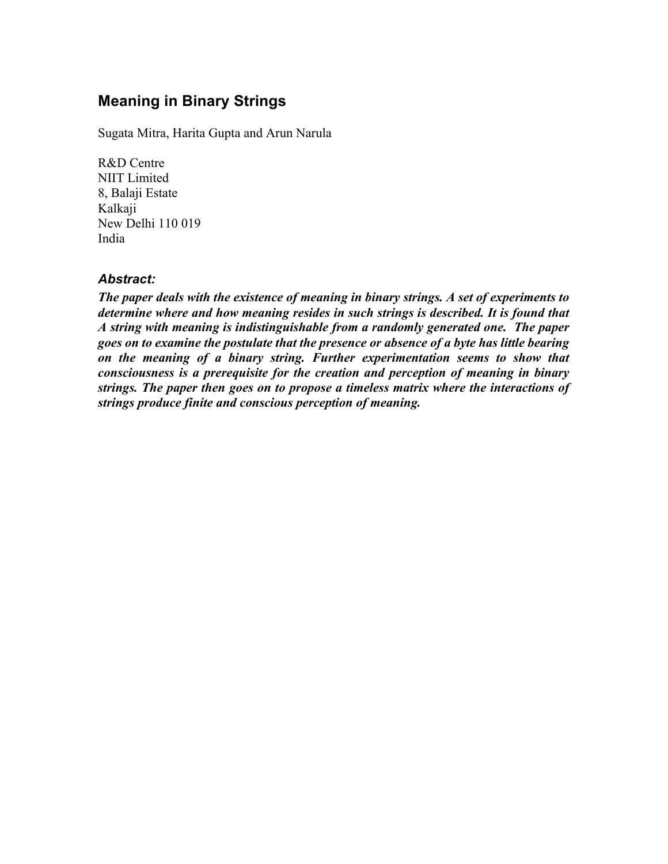# **Meaning in Binary Strings**

Sugata Mitra, Harita Gupta and Arun Narula

R&D Centre NIIT Limited 8, Balaji Estate Kalkaji New Delhi 110 019 India

#### *Abstract:*

*The paper deals with the existence of meaning in binary strings. A set of experiments to determine where and how meaning resides in such strings is described. It is found that A string with meaning is indistinguishable from a randomly generated one. The paper goes on to examine the postulate that the presence or absence of a byte has little bearing on the meaning of a binary string. Further experimentation seems to show that consciousness is a prerequisite for the creation and perception of meaning in binary strings. The paper then goes on to propose a timeless matrix where the interactions of strings produce finite and conscious perception of meaning.*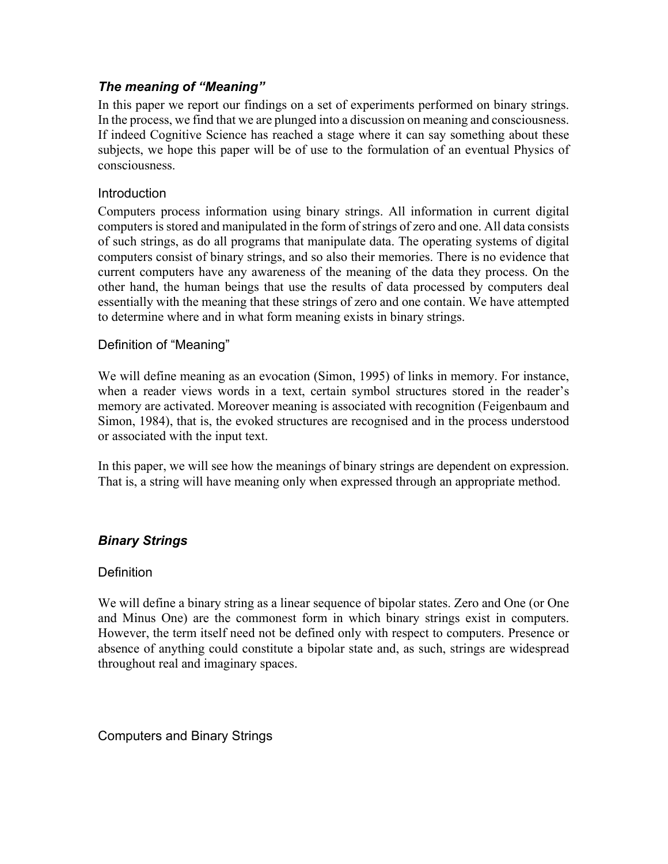# *The meaning of "Meaning"*

In this paper we report our findings on a set of experiments performed on binary strings. In the process, we find that we are plunged into a discussion on meaning and consciousness. If indeed Cognitive Science has reached a stage where it can say something about these subjects, we hope this paper will be of use to the formulation of an eventual Physics of consciousness.

### Introduction

Computers process information using binary strings. All information in current digital computers is stored and manipulated in the form of strings of zero and one. All data consists of such strings, as do all programs that manipulate data. The operating systems of digital computers consist of binary strings, and so also their memories. There is no evidence that current computers have any awareness of the meaning of the data they process. On the other hand, the human beings that use the results of data processed by computers deal essentially with the meaning that these strings of zero and one contain. We have attempted to determine where and in what form meaning exists in binary strings.

### Definition of "Meaning"

We will define meaning as an evocation (Simon, 1995) of links in memory. For instance, when a reader views words in a text, certain symbol structures stored in the reader's memory are activated. Moreover meaning is associated with recognition (Feigenbaum and Simon, 1984), that is, the evoked structures are recognised and in the process understood or associated with the input text.

In this paper, we will see how the meanings of binary strings are dependent on expression. That is, a string will have meaning only when expressed through an appropriate method.

## *Binary Strings*

### **Definition**

We will define a binary string as a linear sequence of bipolar states. Zero and One (or One and Minus One) are the commonest form in which binary strings exist in computers. However, the term itself need not be defined only with respect to computers. Presence or absence of anything could constitute a bipolar state and, as such, strings are widespread throughout real and imaginary spaces.

Computers and Binary Strings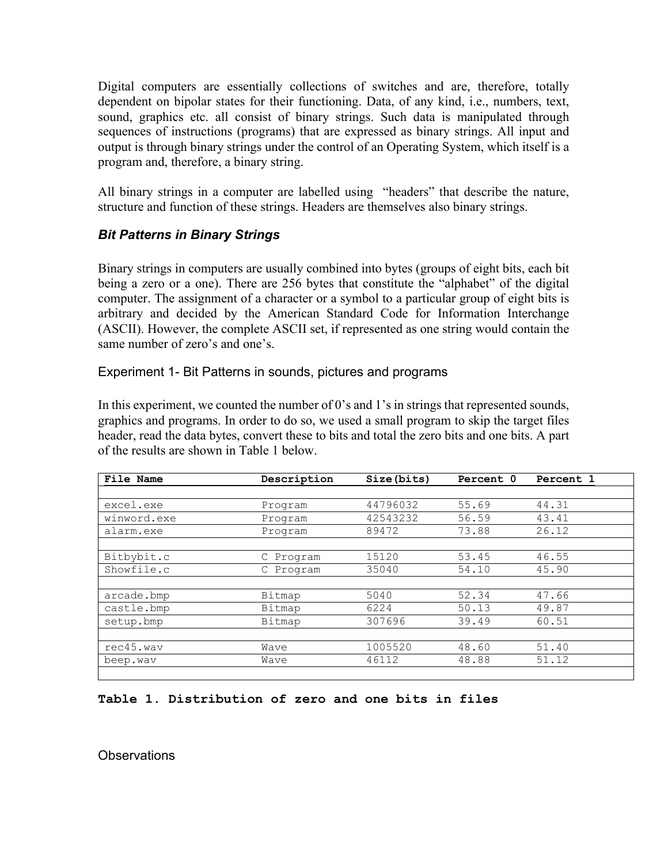Digital computers are essentially collections of switches and are, therefore, totally dependent on bipolar states for their functioning. Data, of any kind, i.e., numbers, text, sound, graphics etc. all consist of binary strings. Such data is manipulated through sequences of instructions (programs) that are expressed as binary strings. All input and output is through binary strings under the control of an Operating System, which itself is a program and, therefore, a binary string.

All binary strings in a computer are labelled using "headers" that describe the nature, structure and function of these strings. Headers are themselves also binary strings.

# *Bit Patterns in Binary Strings*

Binary strings in computers are usually combined into bytes (groups of eight bits, each bit being a zero or a one). There are 256 bytes that constitute the "alphabet" of the digital computer. The assignment of a character or a symbol to a particular group of eight bits is arbitrary and decided by the American Standard Code for Information Interchange (ASCII). However, the complete ASCII set, if represented as one string would contain the same number of zero's and one's.

Experiment 1- Bit Patterns in sounds, pictures and programs

In this experiment, we counted the number of 0's and 1's in strings that represented sounds, graphics and programs. In order to do so, we used a small program to skip the target files header, read the data bytes, convert these to bits and total the zero bits and one bits. A part of the results are shown in Table 1 below.

| File Name   | Description | Size(bits) | Percent 0 | Percent 1 |
|-------------|-------------|------------|-----------|-----------|
|             |             |            |           |           |
| excel.exe   | Program     | 44796032   | 55.69     | 44.31     |
| winword.exe | Program     | 42543232   | 56.59     | 43.41     |
| alarm.exe   | Program     | 89472      | 73.88     | 26.12     |
|             |             |            |           |           |
| Bitbybit.c  | C Program   | 15120      | 53.45     | 46.55     |
| Showfile.c  | Program     | 35040      | 54.10     | 45.90     |
|             |             |            |           |           |
| arcade.bmp  | Bitmap      | 5040       | 52.34     | 47.66     |
| castle.bmp  | Bitmap      | 6224       | 50.13     | 49.87     |
| setup.bmp   | Bitmap      | 307696     | 39.49     | 60.51     |
|             |             |            |           |           |
| rec45.wav   | Wave        | 1005520    | 48.60     | 51.40     |
| beep.wav    | Wave        | 46112      | 48.88     | 51.12     |
|             |             |            |           |           |

### **Table 1. Distribution of zero and one bits in files**

**Observations**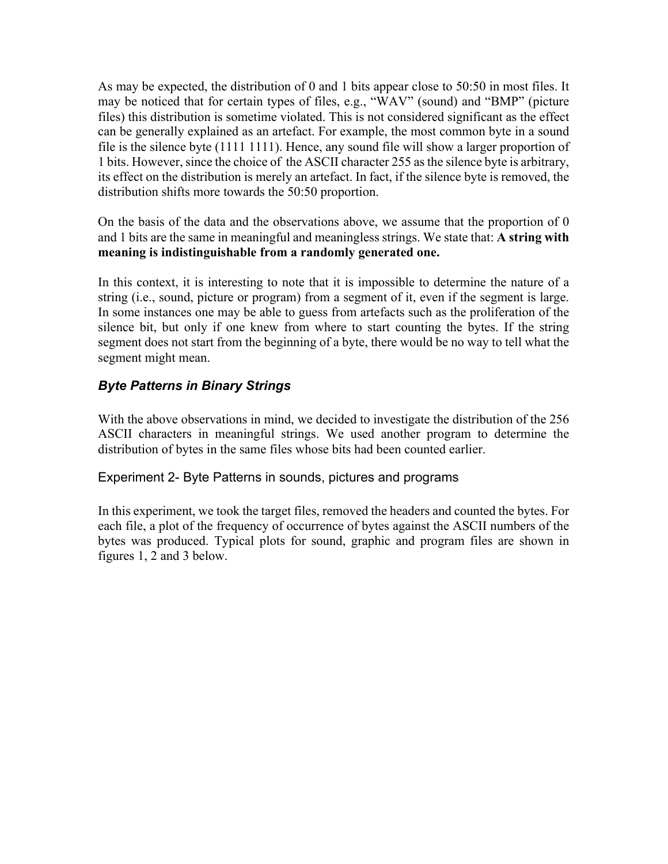As may be expected, the distribution of 0 and 1 bits appear close to 50:50 in most files. It may be noticed that for certain types of files, e.g., "WAV" (sound) and "BMP" (picture files) this distribution is sometime violated. This is not considered significant as the effect can be generally explained as an artefact. For example, the most common byte in a sound file is the silence byte (1111 1111). Hence, any sound file will show a larger proportion of 1 bits. However, since the choice of the ASCII character 255 as the silence byte is arbitrary, its effect on the distribution is merely an artefact. In fact, if the silence byte is removed, the distribution shifts more towards the 50:50 proportion.

On the basis of the data and the observations above, we assume that the proportion of 0 and 1 bits are the same in meaningful and meaningless strings. We state that: **A string with meaning is indistinguishable from a randomly generated one.**

In this context, it is interesting to note that it is impossible to determine the nature of a string (i.e., sound, picture or program) from a segment of it, even if the segment is large. In some instances one may be able to guess from artefacts such as the proliferation of the silence bit, but only if one knew from where to start counting the bytes. If the string segment does not start from the beginning of a byte, there would be no way to tell what the segment might mean.

# *Byte Patterns in Binary Strings*

With the above observations in mind, we decided to investigate the distribution of the 256 ASCII characters in meaningful strings. We used another program to determine the distribution of bytes in the same files whose bits had been counted earlier.

Experiment 2- Byte Patterns in sounds, pictures and programs

In this experiment, we took the target files, removed the headers and counted the bytes. For each file, a plot of the frequency of occurrence of bytes against the ASCII numbers of the bytes was produced. Typical plots for sound, graphic and program files are shown in figures 1, 2 and 3 below.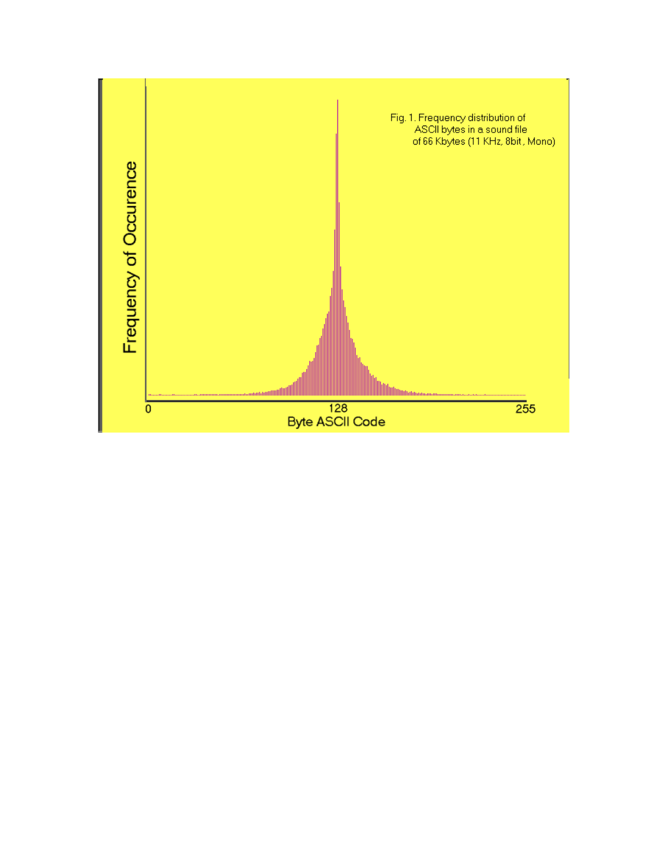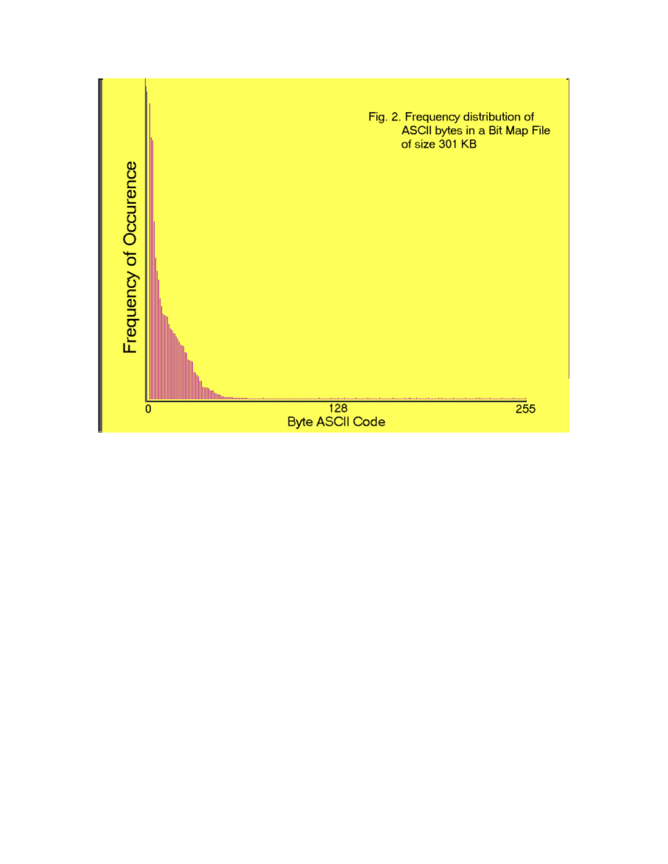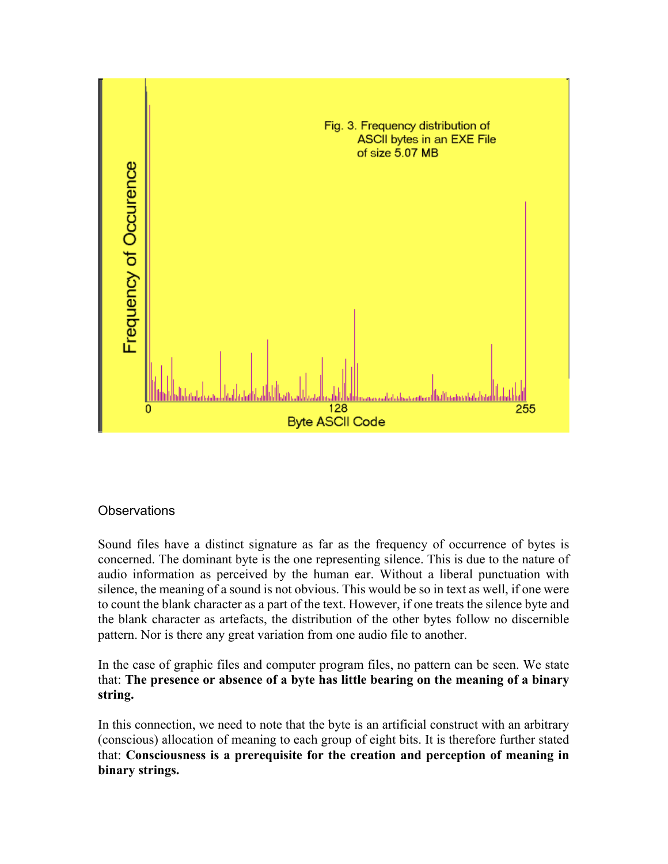

## **Observations**

Sound files have a distinct signature as far as the frequency of occurrence of bytes is concerned. The dominant byte is the one representing silence. This is due to the nature of audio information as perceived by the human ear. Without a liberal punctuation with silence, the meaning of a sound is not obvious. This would be so in text as well, if one were to count the blank character as a part of the text. However, if one treats the silence byte and the blank character as artefacts, the distribution of the other bytes follow no discernible pattern. Nor is there any great variation from one audio file to another.

In the case of graphic files and computer program files, no pattern can be seen. We state that: **The presence or absence of a byte has little bearing on the meaning of a binary string.**

In this connection, we need to note that the byte is an artificial construct with an arbitrary (conscious) allocation of meaning to each group of eight bits. It is therefore further stated that: **Consciousness is a prerequisite for the creation and perception of meaning in binary strings.**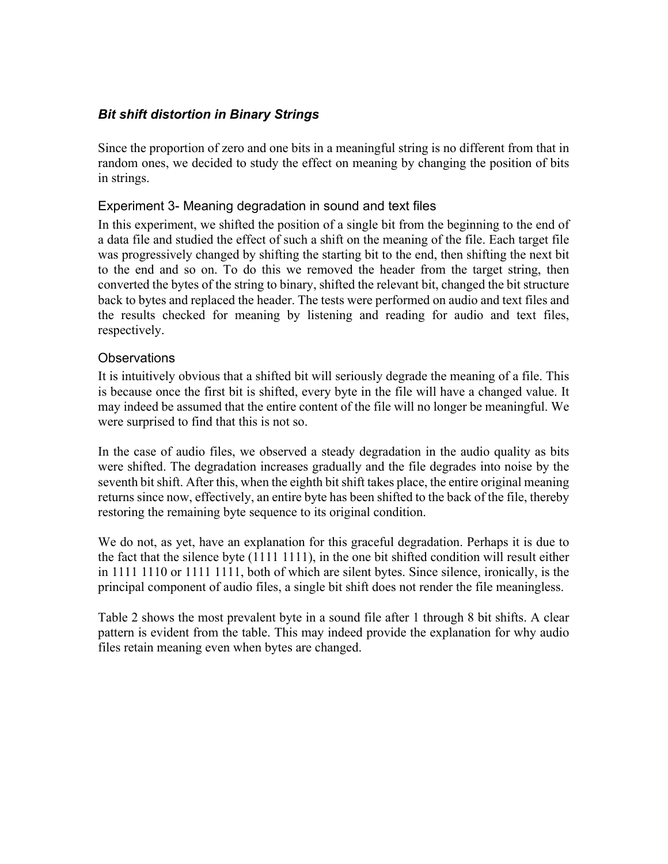# *Bit shift distortion in Binary Strings*

Since the proportion of zero and one bits in a meaningful string is no different from that in random ones, we decided to study the effect on meaning by changing the position of bits in strings.

# Experiment 3- Meaning degradation in sound and text files

In this experiment, we shifted the position of a single bit from the beginning to the end of a data file and studied the effect of such a shift on the meaning of the file. Each target file was progressively changed by shifting the starting bit to the end, then shifting the next bit to the end and so on. To do this we removed the header from the target string, then converted the bytes of the string to binary, shifted the relevant bit, changed the bit structure back to bytes and replaced the header. The tests were performed on audio and text files and the results checked for meaning by listening and reading for audio and text files, respectively.

## **Observations**

It is intuitively obvious that a shifted bit will seriously degrade the meaning of a file. This is because once the first bit is shifted, every byte in the file will have a changed value. It may indeed be assumed that the entire content of the file will no longer be meaningful. We were surprised to find that this is not so.

In the case of audio files, we observed a steady degradation in the audio quality as bits were shifted. The degradation increases gradually and the file degrades into noise by the seventh bit shift. After this, when the eighth bit shift takes place, the entire original meaning returns since now, effectively, an entire byte has been shifted to the back of the file, thereby restoring the remaining byte sequence to its original condition.

We do not, as yet, have an explanation for this graceful degradation. Perhaps it is due to the fact that the silence byte (1111 1111), in the one bit shifted condition will result either in 1111 1110 or 1111 1111, both of which are silent bytes. Since silence, ironically, is the principal component of audio files, a single bit shift does not render the file meaningless.

Table 2 shows the most prevalent byte in a sound file after 1 through 8 bit shifts. A clear pattern is evident from the table. This may indeed provide the explanation for why audio files retain meaning even when bytes are changed.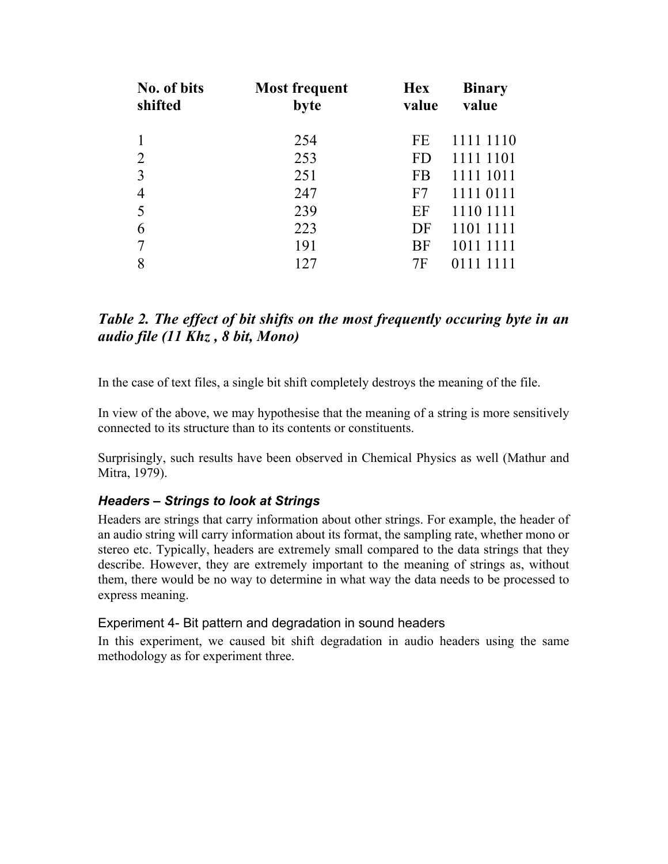| No. of bits<br>shifted | <b>Most frequent</b><br>byte | <b>Hex</b><br>value | <b>Binary</b><br>value |
|------------------------|------------------------------|---------------------|------------------------|
|                        | 254                          | FE                  | 1111 1110              |
| $\overline{2}$         | 253                          | FD                  | 1111 1101              |
| $\overline{3}$         | 251                          | <b>FB</b>           | 1111 1011              |
| $\overline{4}$         | 247                          | F7                  | 1111 0111              |
| 5                      | 239                          | EF                  | 1110 1111              |
| 6                      | 223                          | DF                  | 1101 1111              |
| 7                      | 191                          | BF                  | 1011 1111              |
| 8                      | 127                          | 7F                  | 11                     |

# *Table 2. The effect of bit shifts on the most frequently occuring byte in an audio file (11 Khz , 8 bit, Mono)*

In the case of text files, a single bit shift completely destroys the meaning of the file.

In view of the above, we may hypothesise that the meaning of a string is more sensitively connected to its structure than to its contents or constituents.

Surprisingly, such results have been observed in Chemical Physics as well (Mathur and Mitra, 1979).

# *Headers – Strings to look at Strings*

Headers are strings that carry information about other strings. For example, the header of an audio string will carry information about its format, the sampling rate, whether mono or stereo etc. Typically, headers are extremely small compared to the data strings that they describe. However, they are extremely important to the meaning of strings as, without them, there would be no way to determine in what way the data needs to be processed to express meaning.

### Experiment 4- Bit pattern and degradation in sound headers

In this experiment, we caused bit shift degradation in audio headers using the same methodology as for experiment three.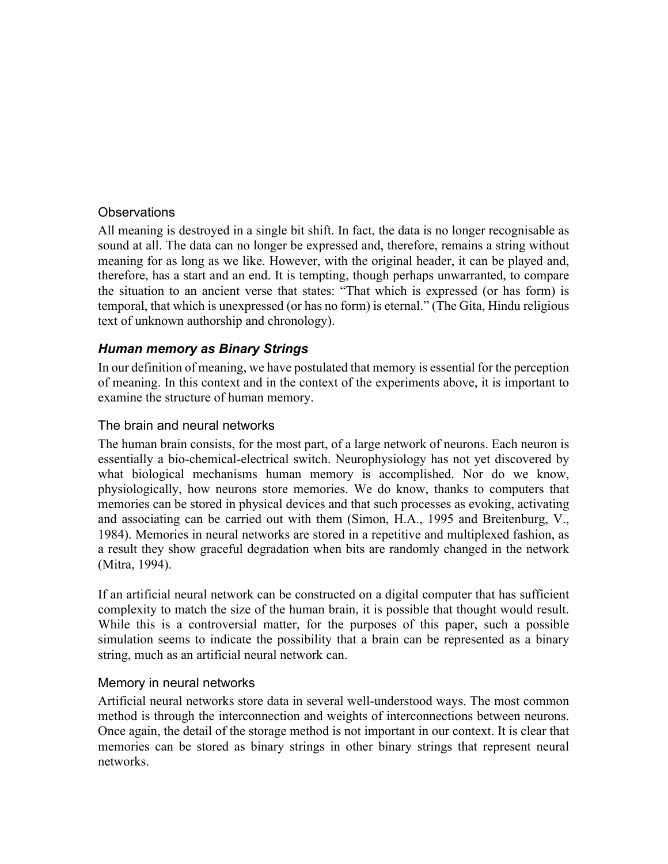### **Observations**

All meaning is destroyed in a single bit shift. In fact, the data is no longer recognisable as sound at all. The data can no longer be expressed and, therefore, remains a string without meaning for as long as we like. However, with the original header, it can be played and, therefore, has a start and an end. It is tempting, though perhaps unwarranted, to compare the situation to an ancient verse that states: "That which is expressed (or has form) is temporal, that which is unexpressed (or has no form) is eternal." (The Gita, Hindu religious text of unknown authorship and chronology).

## *Human memory as Binary Strings*

In our definition of meaning, we have postulated that memory is essential for the perception of meaning. In this context and in the context of the experiments above, it is important to examine the structure of human memory.

### The brain and neural networks

The human brain consists, for the most part, of a large network of neurons. Each neuron is essentially a bio-chemical-electrical switch. Neurophysiology has not yet discovered by what biological mechanisms human memory is accomplished. Nor do we know, physiologically, how neurons store memories. We do know, thanks to computers that memories can be stored in physical devices and that such processes as evoking, activating and associating can be carried out with them (Simon, H.A., 1995 and Breitenburg, V., 1984). Memories in neural networks are stored in a repetitive and multiplexed fashion, as a result they show graceful degradation when bits are randomly changed in the network (Mitra, 1994).

If an artificial neural network can be constructed on a digital computer that has sufficient complexity to match the size of the human brain, it is possible that thought would result. While this is a controversial matter, for the purposes of this paper, such a possible simulation seems to indicate the possibility that a brain can be represented as a binary string, much as an artificial neural network can.

### Memory in neural networks

Artificial neural networks store data in several well-understood ways. The most common method is through the interconnection and weights of interconnections between neurons. Once again, the detail of the storage method is not important in our context. It is clear that memories can be stored as binary strings in other binary strings that represent neural networks.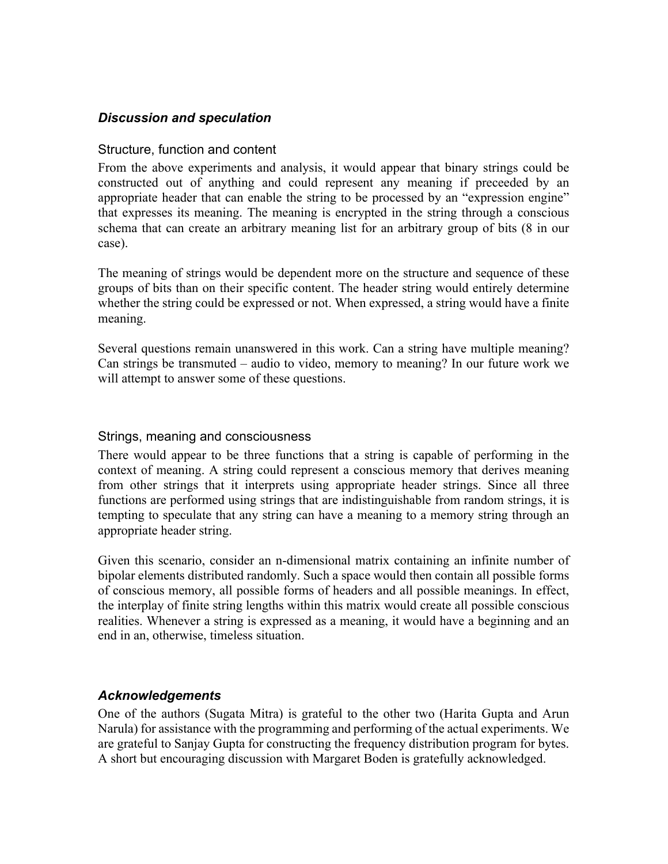## *Discussion and speculation*

### Structure, function and content

From the above experiments and analysis, it would appear that binary strings could be constructed out of anything and could represent any meaning if preceeded by an appropriate header that can enable the string to be processed by an "expression engine" that expresses its meaning. The meaning is encrypted in the string through a conscious schema that can create an arbitrary meaning list for an arbitrary group of bits (8 in our case).

The meaning of strings would be dependent more on the structure and sequence of these groups of bits than on their specific content. The header string would entirely determine whether the string could be expressed or not. When expressed, a string would have a finite meaning.

Several questions remain unanswered in this work. Can a string have multiple meaning? Can strings be transmuted – audio to video, memory to meaning? In our future work we will attempt to answer some of these questions.

### Strings, meaning and consciousness

There would appear to be three functions that a string is capable of performing in the context of meaning. A string could represent a conscious memory that derives meaning from other strings that it interprets using appropriate header strings. Since all three functions are performed using strings that are indistinguishable from random strings, it is tempting to speculate that any string can have a meaning to a memory string through an appropriate header string.

Given this scenario, consider an n-dimensional matrix containing an infinite number of bipolar elements distributed randomly. Such a space would then contain all possible forms of conscious memory, all possible forms of headers and all possible meanings. In effect, the interplay of finite string lengths within this matrix would create all possible conscious realities. Whenever a string is expressed as a meaning, it would have a beginning and an end in an, otherwise, timeless situation.

## *Acknowledgements*

One of the authors (Sugata Mitra) is grateful to the other two (Harita Gupta and Arun Narula) for assistance with the programming and performing of the actual experiments. We are grateful to Sanjay Gupta for constructing the frequency distribution program for bytes. A short but encouraging discussion with Margaret Boden is gratefully acknowledged.